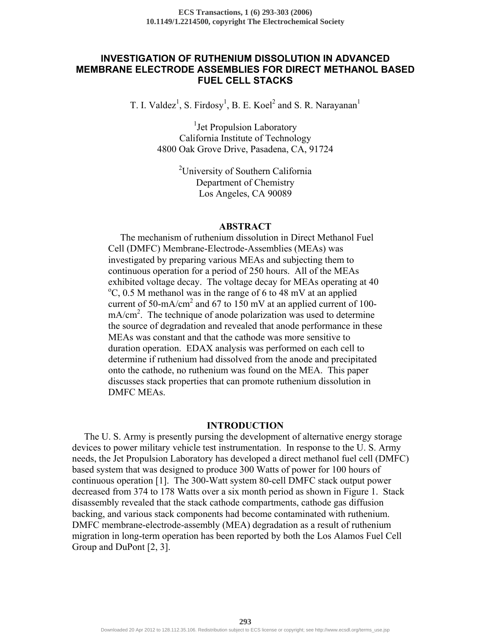# **INVESTIGATION OF RUTHENIUM DISSOLUTION IN ADVANCED MEMBRANE ELECTRODE ASSEMBLIES FOR DIRECT METHANOL BASED FUEL CELL STACKS**

T. I. Valdez<sup>1</sup>, S. Firdosy<sup>1</sup>, B. E. Koel<sup>2</sup> and S. R. Narayanan<sup>1</sup>

<sup>1</sup> Jet Propulsion Laboratory California Institute of Technology 4800 Oak Grove Drive, Pasadena, CA, 91724

> <sup>2</sup>University of Southern California Department of Chemistry Los Angeles, CA 90089

### **ABSTRACT**

 The mechanism of ruthenium dissolution in Direct Methanol Fuel Cell (DMFC) Membrane-Electrode-Assemblies (MEAs) was investigated by preparing various MEAs and subjecting them to continuous operation for a period of 250 hours. All of the MEAs exhibited voltage decay. The voltage decay for MEAs operating at 40  $\rm{^{\circ}C}$ , 0.5 M methanol was in the range of 6 to 48 mV at an applied current of 50-mA/cm<sup>2</sup> and 67 to 150 mV at an applied current of 100 $mA/cm<sup>2</sup>$ . The technique of anode polarization was used to determine the source of degradation and revealed that anode performance in these MEAs was constant and that the cathode was more sensitive to duration operation. EDAX analysis was performed on each cell to determine if ruthenium had dissolved from the anode and precipitated onto the cathode, no ruthenium was found on the MEA. This paper discusses stack properties that can promote ruthenium dissolution in DMFC MEAs.

### **INTRODUCTION**

 The U. S. Army is presently pursing the development of alternative energy storage devices to power military vehicle test instrumentation. In response to the U. S. Army needs, the Jet Propulsion Laboratory has developed a direct methanol fuel cell (DMFC) based system that was designed to produce 300 Watts of power for 100 hours of continuous operation [1]. The 300-Watt system 80-cell DMFC stack output power decreased from 374 to 178 Watts over a six month period as shown in Figure 1. Stack disassembly revealed that the stack cathode compartments, cathode gas diffusion backing, and various stack components had become contaminated with ruthenium. DMFC membrane-electrode-assembly (MEA) degradation as a result of ruthenium migration in long-term operation has been reported by both the Los Alamos Fuel Cell Group and DuPont [2, 3].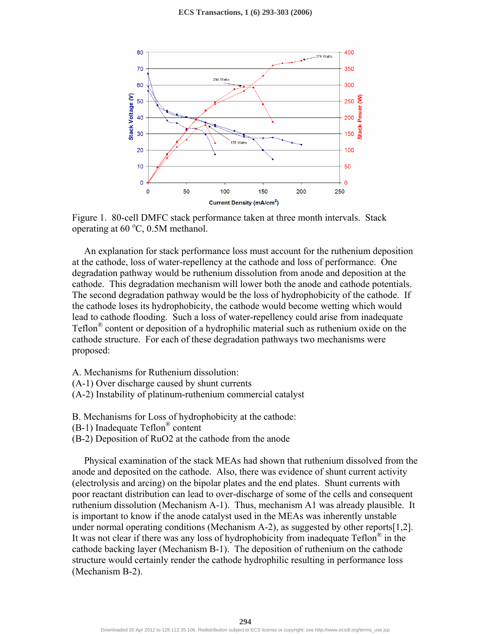



 An explanation for stack performance loss must account for the ruthenium deposition at the cathode, loss of water-repellency at the cathode and loss of performance. One degradation pathway would be ruthenium dissolution from anode and deposition at the cathode. This degradation mechanism will lower both the anode and cathode potentials. The second degradation pathway would be the loss of hydrophobicity of the cathode. If the cathode loses its hydrophobicity, the cathode would become wetting which would lead to cathode flooding. Such a loss of water-repellency could arise from inadequate Teflon® content or deposition of a hydrophilic material such as ruthenium oxide on the cathode structure. For each of these degradation pathways two mechanisms were proposed:

- A. Mechanisms for Ruthenium dissolution:
- (A-1) Over discharge caused by shunt currents
- (A-2) Instability of platinum-ruthenium commercial catalyst
- B. Mechanisms for Loss of hydrophobicity at the cathode:
- (B-1) Inadequate Teflon® content
- (B-2) Deposition of RuO2 at the cathode from the anode

 Physical examination of the stack MEAs had shown that ruthenium dissolved from the anode and deposited on the cathode. Also, there was evidence of shunt current activity (electrolysis and arcing) on the bipolar plates and the end plates. Shunt currents with poor reactant distribution can lead to over-discharge of some of the cells and consequent ruthenium dissolution (Mechanism A-1). Thus, mechanism A1 was already plausible. It is important to know if the anode catalyst used in the MEAs was inherently unstable under normal operating conditions (Mechanism A-2), as suggested by other reports[1,2]. It was not clear if there was any loss of hydrophobicity from inadequate  $\text{Teflon}^{\circledast}$  in the cathode backing layer (Mechanism B-1). The deposition of ruthenium on the cathode structure would certainly render the cathode hydrophilic resulting in performance loss (Mechanism B-2).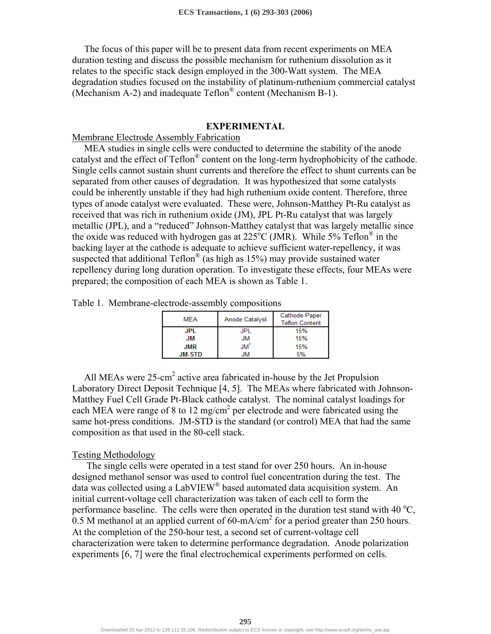The focus of this paper will be to present data from recent experiments on MEA duration testing and discuss the possible mechanism for ruthenium dissolution as it relates to the specific stack design employed in the 300-Watt system. The MEA degradation studies focused on the instability of platinum-ruthenium commercial catalyst (Mechanism A-2) and inadequate Teflon® content (Mechanism B-1).

#### **EXPERIMENTAL**

Membrane Electrode Assembly Fabrication

 MEA studies in single cells were conducted to determine the stability of the anode catalyst and the effect of Teflon® content on the long-term hydrophobicity of the cathode. Single cells cannot sustain shunt currents and therefore the effect to shunt currents can be separated from other causes of degradation. It was hypothesized that some catalysts could be inherently unstable if they had high ruthenium oxide content. Therefore, three types of anode catalyst were evaluated. These were, Johnson-Matthey Pt-Ru catalyst as received that was rich in ruthenium oxide (JM), JPL Pt-Ru catalyst that was largely metallic (JPL), and a "reduced" Johnson-Matthey catalyst that was largely metallic since the oxide was reduced with hydrogen gas at  $225^{\circ}$ C (JMR). While 5% Teflon<sup>®</sup> in the backing layer at the cathode is adequate to achieve sufficient water-repellency, it was suspected that additional Teflon<sup>®</sup> (as high as  $15\%$ ) may provide sustained water repellency during long duration operation. To investigate these effects, four MEAs were prepared; the composition of each MEA is shown as Table 1.

Table 1. Membrane-electrode-assembly compositions

| <b>MEA</b>    | Anode Catalyst  | <b>Cathode Paper</b><br><b>Teflon Content</b> |  |
|---------------|-----------------|-----------------------------------------------|--|
| <b>JPL</b>    | JPL             | 15%                                           |  |
| JМ            | <b>JM</b>       | 15%                                           |  |
| <b>JMR</b>    | JM <sup>*</sup> | 15%                                           |  |
| <b>JM-STD</b> | IМ              | 5%                                            |  |

All MEAs were 25-cm<sup>2</sup> active area fabricated in-house by the Jet Propulsion Laboratory Direct Deposit Technique [4, 5]. The MEAs where fabricated with Johnson-Matthey Fuel Cell Grade Pt-Black cathode catalyst. The nominal catalyst loadings for each MEA were range of 8 to 12 mg/cm<sup>2</sup> per electrode and were fabricated using the same hot-press conditions. JM-STD is the standard (or control) MEA that had the same composition as that used in the 80-cell stack.

#### Testing Methodology

 The single cells were operated in a test stand for over 250 hours. An in-house designed methanol sensor was used to control fuel concentration during the test. The data was collected using a LabVIEW® based automated data acquisition system. An initial current-voltage cell characterization was taken of each cell to form the performance baseline. The cells were then operated in the duration test stand with 40  $^{\circ}$ C, 0.5 M methanol at an applied current of  $60 \text{-} \text{mA/cm}^2$  for a period greater than 250 hours. At the completion of the 250-hour test, a second set of current-voltage cell characterization were taken to determine performance degradation. Anode polarization experiments [6, 7] were the final electrochemical experiments performed on cells.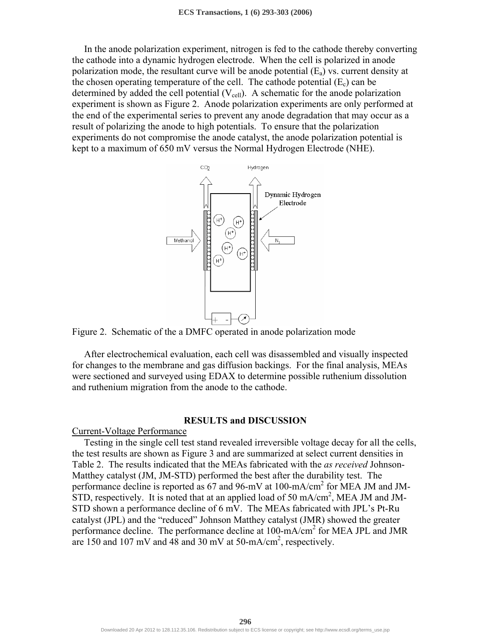In the anode polarization experiment, nitrogen is fed to the cathode thereby converting the cathode into a dynamic hydrogen electrode. When the cell is polarized in anode polarization mode, the resultant curve will be anode potential  $(E_a)$  vs. current density at the chosen operating temperature of the cell. The cathode potential  $(E_c)$  can be determined by added the cell potential  $(V_{cell})$ . A schematic for the anode polarization experiment is shown as Figure 2. Anode polarization experiments are only performed at the end of the experimental series to prevent any anode degradation that may occur as a result of polarizing the anode to high potentials. To ensure that the polarization experiments do not compromise the anode catalyst, the anode polarization potential is kept to a maximum of 650 mV versus the Normal Hydrogen Electrode (NHE).





 After electrochemical evaluation, each cell was disassembled and visually inspected for changes to the membrane and gas diffusion backings. For the final analysis, MEAs were sectioned and surveyed using EDAX to determine possible ruthenium dissolution and ruthenium migration from the anode to the cathode.

#### **RESULTS and DISCUSSION**

Current-Voltage Performance

 Testing in the single cell test stand revealed irreversible voltage decay for all the cells, the test results are shown as Figure 3 and are summarized at select current densities in Table 2. The results indicated that the MEAs fabricated with the *as received* Johnson-Matthey catalyst (JM, JM-STD) performed the best after the durability test. The performance decline is reported as 67 and 96-mV at 100-mA/cm<sup>2</sup> for MEA JM and JM-STD, respectively. It is noted that at an applied load of 50 mA/cm<sup>2</sup>, MEA JM and JM-STD shown a performance decline of 6 mV. The MEAs fabricated with JPL's Pt-Ru catalyst (JPL) and the "reduced" Johnson Matthey catalyst (JMR) showed the greater performance decline. The performance decline at 100-mA/cm<sup>2</sup> for MEA JPL and JMR are 150 and 107 mV and 48 and 30 mV at 50-mA/cm<sup>2</sup>, respectively.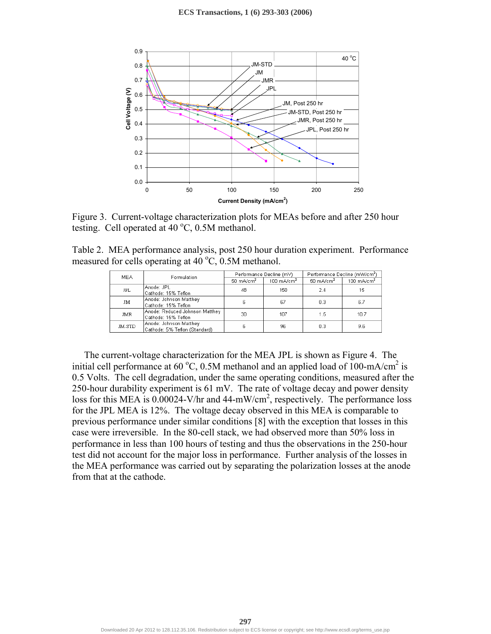

Figure 3. Current-voltage characterization plots for MEAs before and after 250 hour testing. Cell operated at  $40^{\circ}$ C, 0.5M methanol.

|  |                                                                 |  | Table 2. MEA performance analysis, post 250 hour duration experiment. Performance |  |
|--|-----------------------------------------------------------------|--|-----------------------------------------------------------------------------------|--|
|  | measured for cells operating at 40 $^{\circ}$ C, 0.5M methanol. |  |                                                                                   |  |

| <b>MEA</b> | Formulation                                             | Performance Decline (mV) |                       | Performance Decline (mW/cm <sup>2</sup> ) |                       |
|------------|---------------------------------------------------------|--------------------------|-----------------------|-------------------------------------------|-----------------------|
|            |                                                         | $50 \text{ mA/cm}^2$     | $100 \text{ mA/cm}^2$ | $50 \text{ mA/cm}^2$                      | $100 \text{ mA/cm}^2$ |
| <b>JPL</b> | Anode: JPL<br>Cathode: 15% Teflon                       | 48                       | 150                   | 2.4                                       | 15                    |
| JM         | Anode: Johnson Matthey<br>Cathode: 15% Teflon           | Б                        | 67                    | 0.3                                       | 6.7                   |
| <b>JMR</b> | Anode: Reduced Johnson Matthey<br>Cathode: 15% Teflon   | 30                       | 107                   | 1.5                                       | 10.7                  |
| JM-STD     | Anode: Johnson Matthey<br>Cathode: 5% Teflon (Standard) | я                        | 96                    | 0.3                                       | 9.6                   |

 The current-voltage characterization for the MEA JPL is shown as Figure 4. The initial cell performance at 60 °C, 0.5M methanol and an applied load of 100-mA/cm<sup>2</sup> is 0.5 Volts. The cell degradation, under the same operating conditions, measured after the 250-hour durability experiment is 61 mV. The rate of voltage decay and power density loss for this MEA is  $0.00024$ -V/hr and  $44-mW/cm^2$ , respectively. The performance loss for the JPL MEA is 12%. The voltage decay observed in this MEA is comparable to previous performance under similar conditions [8] with the exception that losses in this case were irreversible. In the 80-cell stack, we had observed more than 50% loss in performance in less than 100 hours of testing and thus the observations in the 250-hour test did not account for the major loss in performance. Further analysis of the losses in the MEA performance was carried out by separating the polarization losses at the anode from that at the cathode.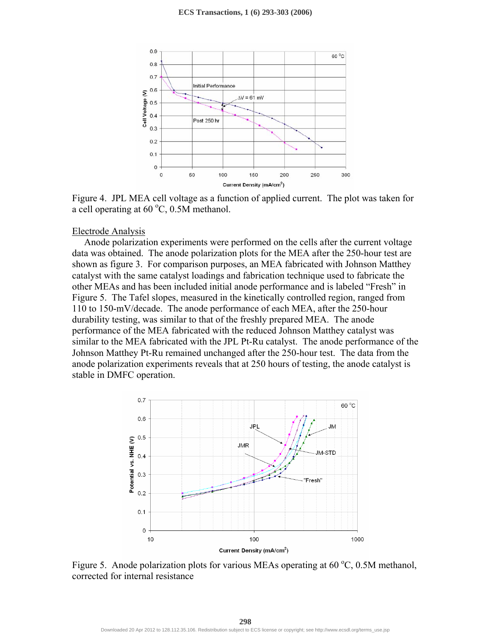

Figure 4. JPL MEA cell voltage as a function of applied current. The plot was taken for a cell operating at  $60^{\circ}$ C,  $0.5M$  methanol.

#### Electrode Analysis

 Anode polarization experiments were performed on the cells after the current voltage data was obtained. The anode polarization plots for the MEA after the 250-hour test are shown as figure 3. For comparison purposes, an MEA fabricated with Johnson Matthey catalyst with the same catalyst loadings and fabrication technique used to fabricate the other MEAs and has been included initial anode performance and is labeled "Fresh" in Figure 5. The Tafel slopes, measured in the kinetically controlled region, ranged from 110 to 150-mV/decade. The anode performance of each MEA, after the 250-hour durability testing, was similar to that of the freshly prepared MEA. The anode performance of the MEA fabricated with the reduced Johnson Matthey catalyst was similar to the MEA fabricated with the JPL Pt-Ru catalyst. The anode performance of the Johnson Matthey Pt-Ru remained unchanged after the 250-hour test. The data from the anode polarization experiments reveals that at 250 hours of testing, the anode catalyst is stable in DMFC operation.



Figure 5. Anode polarization plots for various MEAs operating at  $60^{\circ}$ C, 0.5M methanol, corrected for internal resistance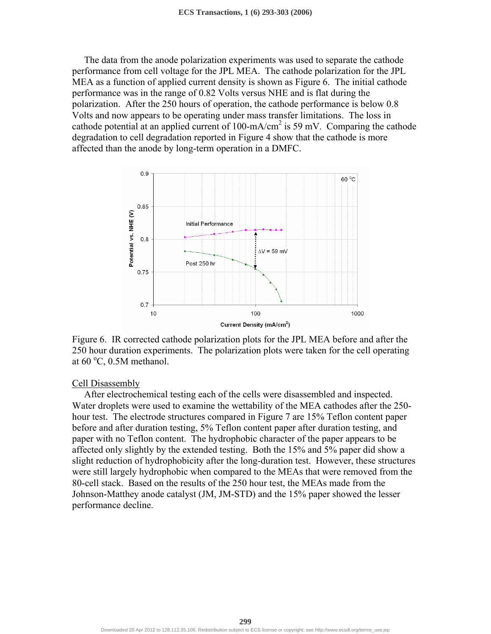The data from the anode polarization experiments was used to separate the cathode performance from cell voltage for the JPL MEA. The cathode polarization for the JPL MEA as a function of applied current density is shown as Figure 6. The initial cathode performance was in the range of 0.82 Volts versus NHE and is flat during the polarization. After the 250 hours of operation, the cathode performance is below 0.8 Volts and now appears to be operating under mass transfer limitations. The loss in cathode potential at an applied current of  $100 \text{-} \text{mA/cm}^2$  is 59 mV. Comparing the cathode degradation to cell degradation reported in Figure 4 show that the cathode is more affected than the anode by long-term operation in a DMFC.



Figure 6. IR corrected cathode polarization plots for the JPL MEA before and after the 250 hour duration experiments. The polarization plots were taken for the cell operating at  $60^{\circ}$ C, 0.5M methanol.

### Cell Disassembly

 After electrochemical testing each of the cells were disassembled and inspected. Water droplets were used to examine the wettability of the MEA cathodes after the 250 hour test. The electrode structures compared in Figure 7 are 15% Teflon content paper before and after duration testing, 5% Teflon content paper after duration testing, and paper with no Teflon content. The hydrophobic character of the paper appears to be affected only slightly by the extended testing. Both the 15% and 5% paper did show a slight reduction of hydrophobicity after the long-duration test. However, these structures were still largely hydrophobic when compared to the MEAs that were removed from the 80-cell stack. Based on the results of the 250 hour test, the MEAs made from the Johnson-Matthey anode catalyst (JM, JM-STD) and the 15% paper showed the lesser performance decline.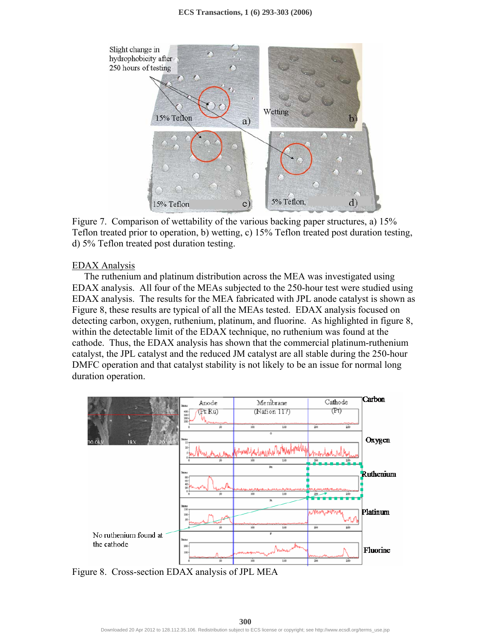

Figure 7. Comparison of wettability of the various backing paper structures, a) 15% Teflon treated prior to operation, b) wetting, c) 15% Teflon treated post duration testing, d) 5% Teflon treated post duration testing.

# EDAX Analysis

 The ruthenium and platinum distribution across the MEA was investigated using EDAX analysis. All four of the MEAs subjected to the 250-hour test were studied using EDAX analysis. The results for the MEA fabricated with JPL anode catalyst is shown as Figure 8, these results are typical of all the MEAs tested. EDAX analysis focused on detecting carbon, oxygen, ruthenium, platinum, and fluorine. As highlighted in figure 8, within the detectable limit of the EDAX technique, no ruthenium was found at the cathode. Thus, the EDAX analysis has shown that the commercial platinum-ruthenium catalyst, the JPL catalyst and the reduced JM catalyst are all stable during the 250-hour DMFC operation and that catalyst stability is not likely to be an issue for normal long duration operation.



Figure 8. Cross-section EDAX analysis of JPL MEA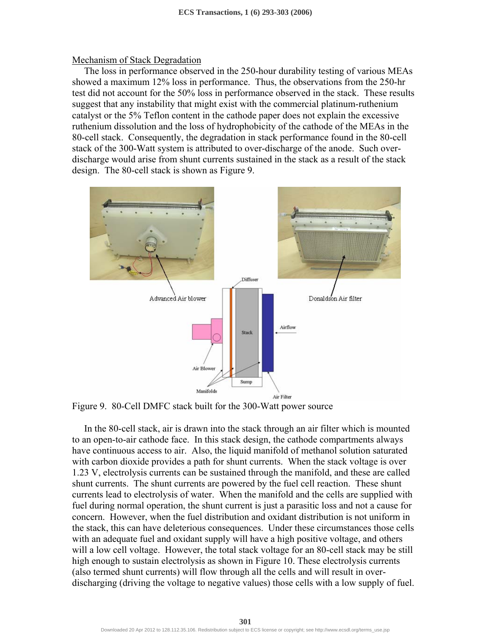#### Mechanism of Stack Degradation

 The loss in performance observed in the 250-hour durability testing of various MEAs showed a maximum 12% loss in performance. Thus, the observations from the 250-hr test did not account for the 50% loss in performance observed in the stack. These results suggest that any instability that might exist with the commercial platinum-ruthenium catalyst or the 5% Teflon content in the cathode paper does not explain the excessive ruthenium dissolution and the loss of hydrophobicity of the cathode of the MEAs in the 80-cell stack. Consequently, the degradation in stack performance found in the 80-cell stack of the 300-Watt system is attributed to over-discharge of the anode. Such overdischarge would arise from shunt currents sustained in the stack as a result of the stack design. The 80-cell stack is shown as Figure 9.



Figure 9. 80-Cell DMFC stack built for the 300-Watt power source

 In the 80-cell stack, air is drawn into the stack through an air filter which is mounted to an open-to-air cathode face. In this stack design, the cathode compartments always have continuous access to air. Also, the liquid manifold of methanol solution saturated with carbon dioxide provides a path for shunt currents. When the stack voltage is over 1.23 V, electrolysis currents can be sustained through the manifold, and these are called shunt currents. The shunt currents are powered by the fuel cell reaction. These shunt currents lead to electrolysis of water. When the manifold and the cells are supplied with fuel during normal operation, the shunt current is just a parasitic loss and not a cause for concern. However, when the fuel distribution and oxidant distribution is not uniform in the stack, this can have deleterious consequences. Under these circumstances those cells with an adequate fuel and oxidant supply will have a high positive voltage, and others will a low cell voltage. However, the total stack voltage for an 80-cell stack may be still high enough to sustain electrolysis as shown in Figure 10. These electrolysis currents (also termed shunt currents) will flow through all the cells and will result in overdischarging (driving the voltage to negative values) those cells with a low supply of fuel.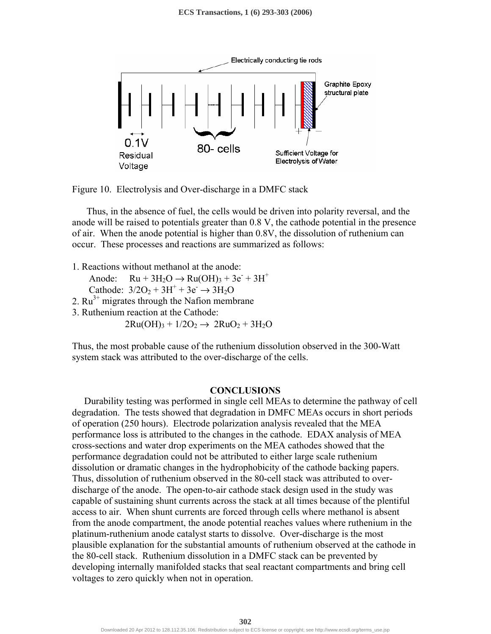

Figure 10. Electrolysis and Over-discharge in a DMFC stack

 Thus, in the absence of fuel, the cells would be driven into polarity reversal, and the anode will be raised to potentials greater than 0.8 V, the cathode potential in the presence of air. When the anode potential is higher than 0.8V, the dissolution of ruthenium can occur. These processes and reactions are summarized as follows:

1. Reactions without methanol at the anode:

Anode:  $Ru + 3H_2O \rightarrow Ru(OH)_3 + 3e^- + 3H^+$ 

Cathode:  $3/2O_2 + 3H^+ + 3e^- \rightarrow 3H_2O$ 

2.  $Ru^{3+}$  migrates through the Nafion membrane

3. Ruthenium reaction at the Cathode:

 $2Ru(OH)<sub>3</sub> + 1/2O<sub>2</sub> \rightarrow 2RuO<sub>2</sub> + 3H<sub>2</sub>O$ 

Thus, the most probable cause of the ruthenium dissolution observed in the 300-Watt system stack was attributed to the over-discharge of the cells.

# **CONCLUSIONS**

 Durability testing was performed in single cell MEAs to determine the pathway of cell degradation. The tests showed that degradation in DMFC MEAs occurs in short periods of operation (250 hours). Electrode polarization analysis revealed that the MEA performance loss is attributed to the changes in the cathode. EDAX analysis of MEA cross-sections and water drop experiments on the MEA cathodes showed that the performance degradation could not be attributed to either large scale ruthenium dissolution or dramatic changes in the hydrophobicity of the cathode backing papers. Thus, dissolution of ruthenium observed in the 80-cell stack was attributed to overdischarge of the anode. The open-to-air cathode stack design used in the study was capable of sustaining shunt currents across the stack at all times because of the plentiful access to air. When shunt currents are forced through cells where methanol is absent from the anode compartment, the anode potential reaches values where ruthenium in the platinum-ruthenium anode catalyst starts to dissolve. Over-discharge is the most plausible explanation for the substantial amounts of ruthenium observed at the cathode in the 80-cell stack. Ruthenium dissolution in a DMFC stack can be prevented by developing internally manifolded stacks that seal reactant compartments and bring cell voltages to zero quickly when not in operation.